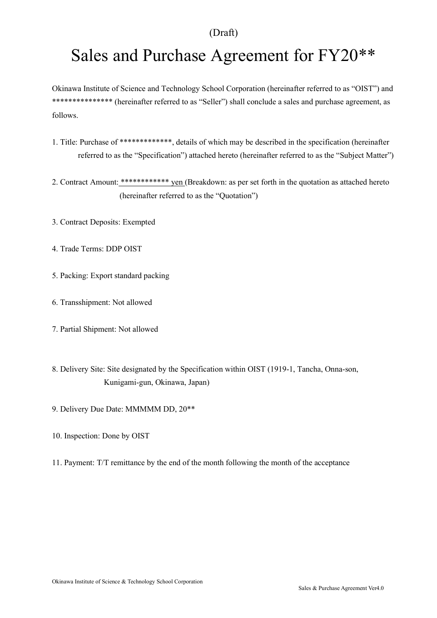# Sales and Purchase Agreement for FY20\*\*

Okinawa Institute of Science and Technology School Corporation (hereinafter referred to as "OIST") and \*\*\*\*\*\*\*\*\*\*\*\*\*\*\* (hereinafter referred to as "Seller") shall conclude a sales and purchase agreement, as follows.

- 1. Title: Purchase of \*\*\*\*\*\*\*\*\*\*\*\*\*\*\*, details of which may be described in the specification (hereinafter referred to as the "Specification") attached hereto (hereinafter referred to as the "Subject Matter")
- 2. Contract Amount: \*\*\*\*\*\*\*\*\*\*\*\*\* yen (Breakdown: as per set forth in the quotation as attached hereto (hereinafter referred to as the "Quotation")
- 3. Contract Deposits: Exempted
- 4. Trade Terms: DDP OIST
- 5. Packing: Export standard packing
- 6. Transshipment: Not allowed
- 7. Partial Shipment: Not allowed
- 8. Delivery Site: Site designated by the Specification within OIST (1919-1, Tancha, Onna-son, Kunigami-gun, Okinawa, Japan)
- 9. Delivery Due Date: MMMMM DD, 20\*\*
- 10. Inspection: Done by OIST
- 11. Payment: T/T remittance by the end of the month following the month of the acceptance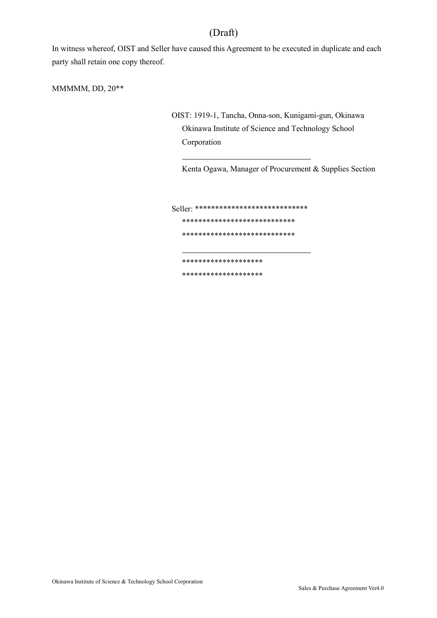In witness whereof, OIST and Seller have caused this Agreement to be executed in duplicate and each party shall retain one copy thereof.

 $\overline{a}$ 

 $\overline{a}$ 

MMMMM, DD, 20\*\*

OIST: 1919-1, Tancha, Onna-son, Kunigami-gun, Okinawa Okinawa Institute of Science and Technology School Corporation

Kenta Ogawa, Manager of Procurement & Supplies Section

Seller: \*\*\*\*\*\*\*\*\*\*\*\*\*\*\*\*\*\*\*\*\*\*\*\*\*\*\*\* \*\*\*\*\*\*\*\*\*\*\*\*\*\*\*\*\*\*\*\*\*\*\*\*\*\*\*\*

\*\*\*\*\*\*\*\*\*\*\*\*\*\*\*\*\*\*\*\*\*\*\*\*\*\*\*\*

\*\*\*\*\*\*\*\*\*\*\*\*\*\*\*\*\*\*\*\*

\*\*\*\*\*\*\*\*\*\*\*\*\*\*\*\*\*\*\*\*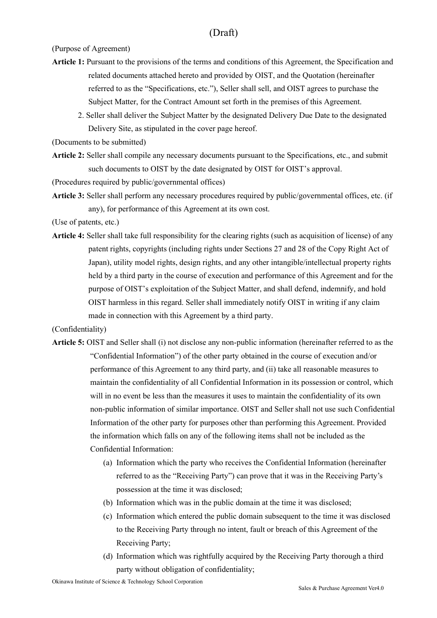(Purpose of Agreement)

- Article 1: Pursuant to the provisions of the terms and conditions of this Agreement, the Specification and related documents attached hereto and provided by OIST, and the Quotation (hereinafter referred to as the "Specifications, etc."), Seller shall sell, and OIST agrees to purchase the Subject Matter, for the Contract Amount set forth in the premises of this Agreement.
	- 2. Seller shall deliver the Subject Matter by the designated Delivery Due Date to the designated Delivery Site, as stipulated in the cover page hereof.

(Documents to be submitted)

Article 2: Seller shall compile any necessary documents pursuant to the Specifications, etc., and submit such documents to OIST by the date designated by OIST for OIST's approval.

(Procedures required by public/governmental offices)

Article 3: Seller shall perform any necessary procedures required by public/governmental offices, etc. (if any), for performance of this Agreement at its own cost.

(Use of patents, etc.)

Article 4: Seller shall take full responsibility for the clearing rights (such as acquisition of license) of any patent rights, copyrights (including rights under Sections 27 and 28 of the Copy Right Act of Japan), utility model rights, design rights, and any other intangible/intellectual property rights held by a third party in the course of execution and performance of this Agreement and for the purpose of OIST's exploitation of the Subject Matter, and shall defend, indemnify, and hold OIST harmless in this regard. Seller shall immediately notify OIST in writing if any claim made in connection with this Agreement by a third party.

#### (Confidentiality)

- Article 5: OIST and Seller shall (i) not disclose any non-public information (hereinafter referred to as the "Confidential Information") of the other party obtained in the course of execution and/or performance of this Agreement to any third party, and (ii) take all reasonable measures to maintain the confidentiality of all Confidential Information in its possession or control, which will in no event be less than the measures it uses to maintain the confidentiality of its own non-public information of similar importance. OIST and Seller shall not use such Confidential Information of the other party for purposes other than performing this Agreement. Provided the information which falls on any of the following items shall not be included as the Confidential Information:
	- (a) Information which the party who receives the Confidential Information (hereinafter referred to as the "Receiving Party") can prove that it was in the Receiving Party's possession at the time it was disclosed;
	- (b) Information which was in the public domain at the time it was disclosed;
	- (c) Information which entered the public domain subsequent to the time it was disclosed to the Receiving Party through no intent, fault or breach of this Agreement of the Receiving Party;
	- (d) Information which was rightfully acquired by the Receiving Party thorough a third party without obligation of confidentiality;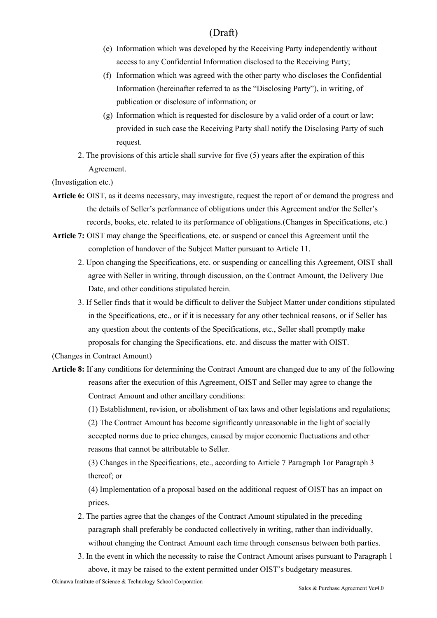- (e) Information which was developed by the Receiving Party independently without access to any Confidential Information disclosed to the Receiving Party;
- (f) Information which was agreed with the other party who discloses the Confidential Information (hereinafter referred to as the "Disclosing Party"), in writing, of publication or disclosure of information; or
- (g) Information which is requested for disclosure by a valid order of a court or law; provided in such case the Receiving Party shall notify the Disclosing Party of such request.
- 2. The provisions of this article shall survive for five (5) years after the expiration of this Agreement.

(Investigation etc.)

- Article 6: OIST, as it deems necessary, may investigate, request the report of or demand the progress and the details of Seller's performance of obligations under this Agreement and/or the Seller's records, books, etc. related to its performance of obligations.(Changes in Specifications, etc.)
- Article 7: OIST may change the Specifications, etc. or suspend or cancel this Agreement until the completion of handover of the Subject Matter pursuant to Article 11.
	- 2. Upon changing the Specifications, etc. or suspending or cancelling this Agreement, OIST shall agree with Seller in writing, through discussion, on the Contract Amount, the Delivery Due Date, and other conditions stipulated herein.
	- 3. If Seller finds that it would be difficult to deliver the Subject Matter under conditions stipulated in the Specifications, etc., or if it is necessary for any other technical reasons, or if Seller has any question about the contents of the Specifications, etc., Seller shall promptly make proposals for changing the Specifications, etc. and discuss the matter with OIST.

(Changes in Contract Amount)

Article 8: If any conditions for determining the Contract Amount are changed due to any of the following reasons after the execution of this Agreement, OIST and Seller may agree to change the Contract Amount and other ancillary conditions:

(1) Establishment, revision, or abolishment of tax laws and other legislations and regulations;

(2) The Contract Amount has become significantly unreasonable in the light of socially accepted norms due to price changes, caused by major economic fluctuations and other reasons that cannot be attributable to Seller.

(3) Changes in the Specifications, etc., according to Article 7 Paragraph 1or Paragraph 3 thereof; or

(4) Implementation of a proposal based on the additional request of OIST has an impact on prices.

- 2. The parties agree that the changes of the Contract Amount stipulated in the preceding paragraph shall preferably be conducted collectively in writing, rather than individually, without changing the Contract Amount each time through consensus between both parties.
- 3. In the event in which the necessity to raise the Contract Amount arises pursuant to Paragraph 1 above, it may be raised to the extent permitted under OIST's budgetary measures.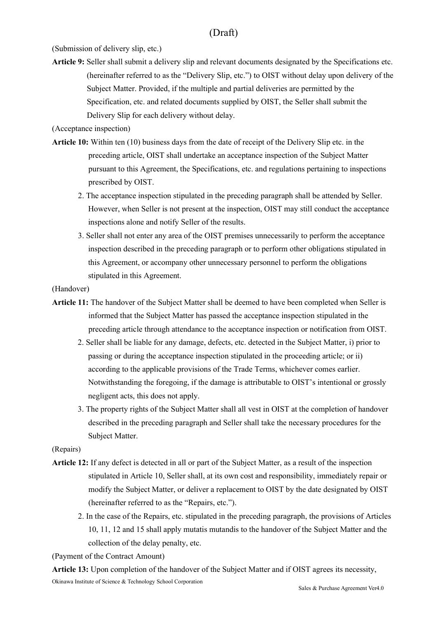(Submission of delivery slip, etc.)

Article 9: Seller shall submit a delivery slip and relevant documents designated by the Specifications etc. (hereinafter referred to as the "Delivery Slip, etc.") to OIST without delay upon delivery of the Subject Matter. Provided, if the multiple and partial deliveries are permitted by the Specification, etc. and related documents supplied by OIST, the Seller shall submit the Delivery Slip for each delivery without delay.

(Acceptance inspection)

- Article 10: Within ten (10) business days from the date of receipt of the Delivery Slip etc. in the preceding article, OIST shall undertake an acceptance inspection of the Subject Matter pursuant to this Agreement, the Specifications, etc. and regulations pertaining to inspections prescribed by OIST.
	- 2. The acceptance inspection stipulated in the preceding paragraph shall be attended by Seller. However, when Seller is not present at the inspection, OIST may still conduct the acceptance inspections alone and notify Seller of the results.
	- 3. Seller shall not enter any area of the OIST premises unnecessarily to perform the acceptance inspection described in the preceding paragraph or to perform other obligations stipulated in this Agreement, or accompany other unnecessary personnel to perform the obligations stipulated in this Agreement.

#### (Handover)

- Article 11: The handover of the Subject Matter shall be deemed to have been completed when Seller is informed that the Subject Matter has passed the acceptance inspection stipulated in the preceding article through attendance to the acceptance inspection or notification from OIST.
	- 2. Seller shall be liable for any damage, defects, etc. detected in the Subject Matter, i) prior to passing or during the acceptance inspection stipulated in the proceeding article; or ii) according to the applicable provisions of the Trade Terms, whichever comes earlier. Notwithstanding the foregoing, if the damage is attributable to OIST's intentional or grossly negligent acts, this does not apply.
	- 3. The property rights of the Subject Matter shall all vest in OIST at the completion of handover described in the preceding paragraph and Seller shall take the necessary procedures for the Subject Matter.

#### (Repairs)

- Article 12: If any defect is detected in all or part of the Subject Matter, as a result of the inspection stipulated in Article 10, Seller shall, at its own cost and responsibility, immediately repair or modify the Subject Matter, or deliver a replacement to OIST by the date designated by OIST (hereinafter referred to as the "Repairs, etc.").
	- 2. In the case of the Repairs, etc. stipulated in the preceding paragraph, the provisions of Articles 10, 11, 12 and 15 shall apply mutatis mutandis to the handover of the Subject Matter and the collection of the delay penalty, etc.

(Payment of the Contract Amount)

Okinawa Institute of Science & Technology School Corporation Article 13: Upon completion of the handover of the Subject Matter and if OIST agrees its necessity,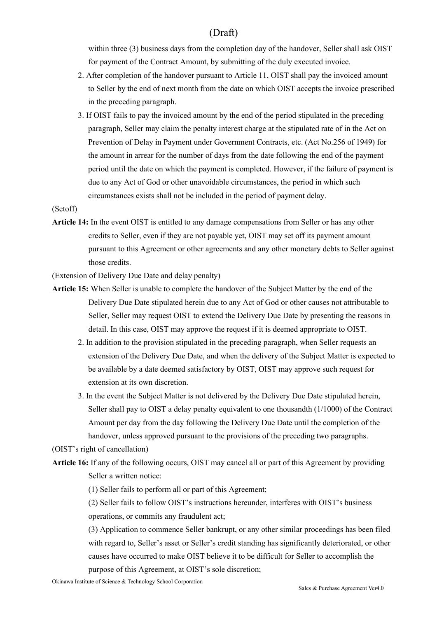within three (3) business days from the completion day of the handover, Seller shall ask OIST for payment of the Contract Amount, by submitting of the duly executed invoice.

- 2. After completion of the handover pursuant to Article 11, OIST shall pay the invoiced amount to Seller by the end of next month from the date on which OIST accepts the invoice prescribed in the preceding paragraph.
- 3. If OIST fails to pay the invoiced amount by the end of the period stipulated in the preceding paragraph, Seller may claim the penalty interest charge at the stipulated rate of in the Act on Prevention of Delay in Payment under Government Contracts, etc. (Act No.256 of 1949) for the amount in arrear for the number of days from the date following the end of the payment period until the date on which the payment is completed. However, if the failure of payment is due to any Act of God or other unavoidable circumstances, the period in which such circumstances exists shall not be included in the period of payment delay.

#### (Setoff)

Article 14: In the event OIST is entitled to any damage compensations from Seller or has any other credits to Seller, even if they are not payable yet, OIST may set off its payment amount pursuant to this Agreement or other agreements and any other monetary debts to Seller against those credits.

(Extension of Delivery Due Date and delay penalty)

- Article 15: When Seller is unable to complete the handover of the Subject Matter by the end of the Delivery Due Date stipulated herein due to any Act of God or other causes not attributable to Seller, Seller may request OIST to extend the Delivery Due Date by presenting the reasons in detail. In this case, OIST may approve the request if it is deemed appropriate to OIST.
	- 2. In addition to the provision stipulated in the preceding paragraph, when Seller requests an extension of the Delivery Due Date, and when the delivery of the Subject Matter is expected to be available by a date deemed satisfactory by OIST, OIST may approve such request for extension at its own discretion.
	- 3. In the event the Subject Matter is not delivered by the Delivery Due Date stipulated herein, Seller shall pay to OIST a delay penalty equivalent to one thousandth (1/1000) of the Contract Amount per day from the day following the Delivery Due Date until the completion of the handover, unless approved pursuant to the provisions of the preceding two paragraphs.

(OIST's right of cancellation)

Article 16: If any of the following occurs, OIST may cancel all or part of this Agreement by providing Seller a written notice:

(1) Seller fails to perform all or part of this Agreement;

(2) Seller fails to follow OIST's instructions hereunder, interferes with OIST's business operations, or commits any fraudulent act;

(3) Application to commence Seller bankrupt, or any other similar proceedings has been filed with regard to, Seller's asset or Seller's credit standing has significantly deteriorated, or other causes have occurred to make OIST believe it to be difficult for Seller to accomplish the purpose of this Agreement, at OIST's sole discretion;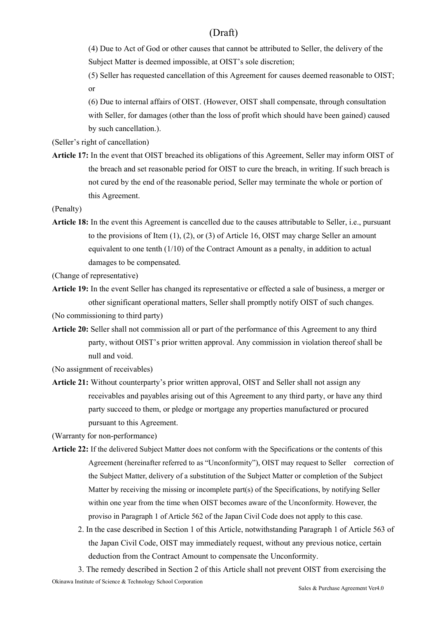(4) Due to Act of God or other causes that cannot be attributed to Seller, the delivery of the Subject Matter is deemed impossible, at OIST's sole discretion;

(5) Seller has requested cancellation of this Agreement for causes deemed reasonable to OIST; or

(6) Due to internal affairs of OIST. (However, OIST shall compensate, through consultation with Seller, for damages (other than the loss of profit which should have been gained) caused by such cancellation.).

(Seller's right of cancellation)

Article 17: In the event that OIST breached its obligations of this Agreement, Seller may inform OIST of the breach and set reasonable period for OIST to cure the breach, in writing. If such breach is not cured by the end of the reasonable period, Seller may terminate the whole or portion of this Agreement.

(Penalty)

Article 18: In the event this Agreement is cancelled due to the causes attributable to Seller, i.e., pursuant to the provisions of Item  $(1)$ ,  $(2)$ , or  $(3)$  of Article 16, OIST may charge Seller an amount equivalent to one tenth  $(1/10)$  of the Contract Amount as a penalty, in addition to actual damages to be compensated.

(Change of representative)

Article 19: In the event Seller has changed its representative or effected a sale of business, a merger or other significant operational matters, Seller shall promptly notify OIST of such changes.

(No commissioning to third party)

Article 20: Seller shall not commission all or part of the performance of this Agreement to any third party, without OIST's prior written approval. Any commission in violation thereof shall be null and void.

(No assignment of receivables)

Article 21: Without counterparty's prior written approval, OIST and Seller shall not assign any receivables and payables arising out of this Agreement to any third party, or have any third party succeed to them, or pledge or mortgage any properties manufactured or procured pursuant to this Agreement.

(Warranty for non-performance)

- Article 22: If the delivered Subject Matter does not conform with the Specifications or the contents of this Agreement (hereinafter referred to as "Unconformity"), OIST may request to Seller correction of the Subject Matter, delivery of a substitution of the Subject Matter or completion of the Subject Matter by receiving the missing or incomplete part(s) of the Specifications, by notifying Seller within one year from the time when OIST becomes aware of the Unconformity. However, the proviso in Paragraph 1 of Article 562 of the Japan Civil Code does not apply to this case.
	- 2. In the case described in Section 1 of this Article, notwithstanding Paragraph 1 of Article 563 of the Japan Civil Code, OIST may immediately request, without any previous notice, certain deduction from the Contract Amount to compensate the Unconformity.

Okinawa Institute of Science & Technology School Corporation 3. The remedy described in Section 2 of this Article shall not prevent OIST from exercising the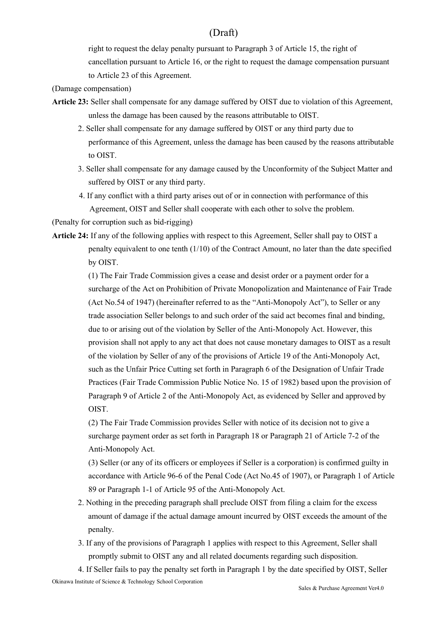right to request the delay penalty pursuant to Paragraph 3 of Article 15, the right of cancellation pursuant to Article 16, or the right to request the damage compensation pursuant to Article 23 of this Agreement.

- (Damage compensation)
- Article 23: Seller shall compensate for any damage suffered by OIST due to violation of this Agreement, unless the damage has been caused by the reasons attributable to OIST.
	- 2. Seller shall compensate for any damage suffered by OIST or any third party due to performance of this Agreement, unless the damage has been caused by the reasons attributable to OIST.
	- 3. Seller shall compensate for any damage caused by the Unconformity of the Subject Matter and suffered by OIST or any third party.
	- 4. If any conflict with a third party arises out of or in connection with performance of this Agreement, OIST and Seller shall cooperate with each other to solve the problem.

(Penalty for corruption such as bid-rigging)

Article 24: If any of the following applies with respect to this Agreement, Seller shall pay to OIST a penalty equivalent to one tenth (1/10) of the Contract Amount, no later than the date specified by OIST.

> (1) The Fair Trade Commission gives a cease and desist order or a payment order for a surcharge of the Act on Prohibition of Private Monopolization and Maintenance of Fair Trade (Act No.54 of 1947) (hereinafter referred to as the "Anti-Monopoly Act"), to Seller or any trade association Seller belongs to and such order of the said act becomes final and binding, due to or arising out of the violation by Seller of the Anti-Monopoly Act. However, this provision shall not apply to any act that does not cause monetary damages to OIST as a result of the violation by Seller of any of the provisions of Article 19 of the Anti-Monopoly Act, such as the Unfair Price Cutting set forth in Paragraph 6 of the Designation of Unfair Trade Practices (Fair Trade Commission Public Notice No. 15 of 1982) based upon the provision of Paragraph 9 of Article 2 of the Anti-Monopoly Act, as evidenced by Seller and approved by OIST.

(2) The Fair Trade Commission provides Seller with notice of its decision not to give a surcharge payment order as set forth in Paragraph 18 or Paragraph 21 of Article 7-2 of the Anti-Monopoly Act.

(3) Seller (or any of its officers or employees if Seller is a corporation) is confirmed guilty in accordance with Article 96-6 of the Penal Code (Act No.45 of 1907), or Paragraph 1 of Article 89 or Paragraph 1-1 of Article 95 of the Anti-Monopoly Act.

- 2. Nothing in the preceding paragraph shall preclude OIST from filing a claim for the excess amount of damage if the actual damage amount incurred by OIST exceeds the amount of the penalty.
- 3. If any of the provisions of Paragraph 1 applies with respect to this Agreement, Seller shall promptly submit to OIST any and all related documents regarding such disposition.

Okinawa Institute of Science & Technology School Corporation 4. If Seller fails to pay the penalty set forth in Paragraph 1 by the date specified by OIST, Seller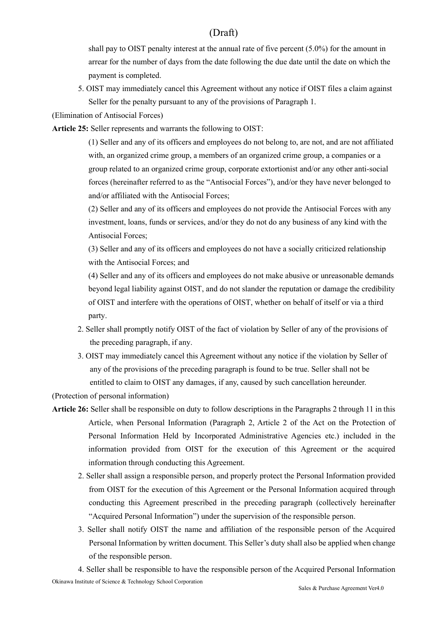shall pay to OIST penalty interest at the annual rate of five percent (5.0%) for the amount in arrear for the number of days from the date following the due date until the date on which the payment is completed.

5. OIST may immediately cancel this Agreement without any notice if OIST files a claim against Seller for the penalty pursuant to any of the provisions of Paragraph 1.

(Elimination of Antisocial Forces)

Article 25: Seller represents and warrants the following to OIST:

(1) Seller and any of its officers and employees do not belong to, are not, and are not affiliated with, an organized crime group, a members of an organized crime group, a companies or a group related to an organized crime group, corporate extortionist and/or any other anti-social forces (hereinafter referred to as the "Antisocial Forces"), and/or they have never belonged to and/or affiliated with the Antisocial Forces;

(2) Seller and any of its officers and employees do not provide the Antisocial Forces with any investment, loans, funds or services, and/or they do not do any business of any kind with the Antisocial Forces;

(3) Seller and any of its officers and employees do not have a socially criticized relationship with the Antisocial Forces; and

(4) Seller and any of its officers and employees do not make abusive or unreasonable demands beyond legal liability against OIST, and do not slander the reputation or damage the credibility of OIST and interfere with the operations of OIST, whether on behalf of itself or via a third party.

- 2. Seller shall promptly notify OIST of the fact of violation by Seller of any of the provisions of the preceding paragraph, if any.
- 3. OIST may immediately cancel this Agreement without any notice if the violation by Seller of any of the provisions of the preceding paragraph is found to be true. Seller shall not be entitled to claim to OIST any damages, if any, caused by such cancellation hereunder.

(Protection of personal information)

- Article 26: Seller shall be responsible on duty to follow descriptions in the Paragraphs 2 through 11 in this Article, when Personal Information (Paragraph 2, Article 2 of the Act on the Protection of Personal Information Held by Incorporated Administrative Agencies etc.) included in the information provided from OIST for the execution of this Agreement or the acquired information through conducting this Agreement.
	- 2. Seller shall assign a responsible person, and properly protect the Personal Information provided from OIST for the execution of this Agreement or the Personal Information acquired through conducting this Agreement prescribed in the preceding paragraph (collectively hereinafter "Acquired Personal Information") under the supervision of the responsible person.
	- 3. Seller shall notify OIST the name and affiliation of the responsible person of the Acquired Personal Information by written document. This Seller's duty shall also be applied when change of the responsible person.

Okinawa Institute of Science & Technology School Corporation 4. Seller shall be responsible to have the responsible person of the Acquired Personal Information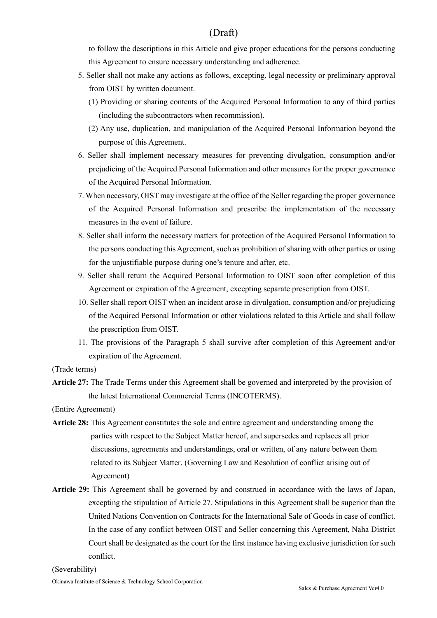to follow the descriptions in this Article and give proper educations for the persons conducting this Agreement to ensure necessary understanding and adherence.

- 5. Seller shall not make any actions as follows, excepting, legal necessity or preliminary approval from OIST by written document.
	- (1) Providing or sharing contents of the Acquired Personal Information to any of third parties (including the subcontractors when recommission).
	- (2) Any use, duplication, and manipulation of the Acquired Personal Information beyond the purpose of this Agreement.
- 6. Seller shall implement necessary measures for preventing divulgation, consumption and/or prejudicing of the Acquired Personal Information and other measures for the proper governance of the Acquired Personal Information.
- 7. When necessary, OIST may investigate at the office of the Seller regarding the proper governance of the Acquired Personal Information and prescribe the implementation of the necessary measures in the event of failure.
- 8. Seller shall inform the necessary matters for protection of the Acquired Personal Information to the persons conducting this Agreement, such as prohibition of sharing with other parties or using for the unjustifiable purpose during one's tenure and after, etc.
- 9. Seller shall return the Acquired Personal Information to OIST soon after completion of this Agreement or expiration of the Agreement, excepting separate prescription from OIST.
- 10. Seller shall report OIST when an incident arose in divulgation, consumption and/or prejudicing of the Acquired Personal Information or other violations related to this Article and shall follow the prescription from OIST.
- 11. The provisions of the Paragraph 5 shall survive after completion of this Agreement and/or expiration of the Agreement.

(Trade terms)

Article 27: The Trade Terms under this Agreement shall be governed and interpreted by the provision of the latest International Commercial Terms (INCOTERMS).

(Entire Agreement)

- Article 28: This Agreement constitutes the sole and entire agreement and understanding among the parties with respect to the Subject Matter hereof, and supersedes and replaces all prior discussions, agreements and understandings, oral or written, of any nature between them related to its Subject Matter. (Governing Law and Resolution of conflict arising out of Agreement)
- Article 29: This Agreement shall be governed by and construed in accordance with the laws of Japan, excepting the stipulation of Article 27. Stipulations in this Agreement shall be superior than the United Nations Convention on Contracts for the International Sale of Goods in case of conflict. In the case of any conflict between OIST and Seller concerning this Agreement, Naha District Court shall be designated as the court for the first instance having exclusive jurisdiction for such conflict.